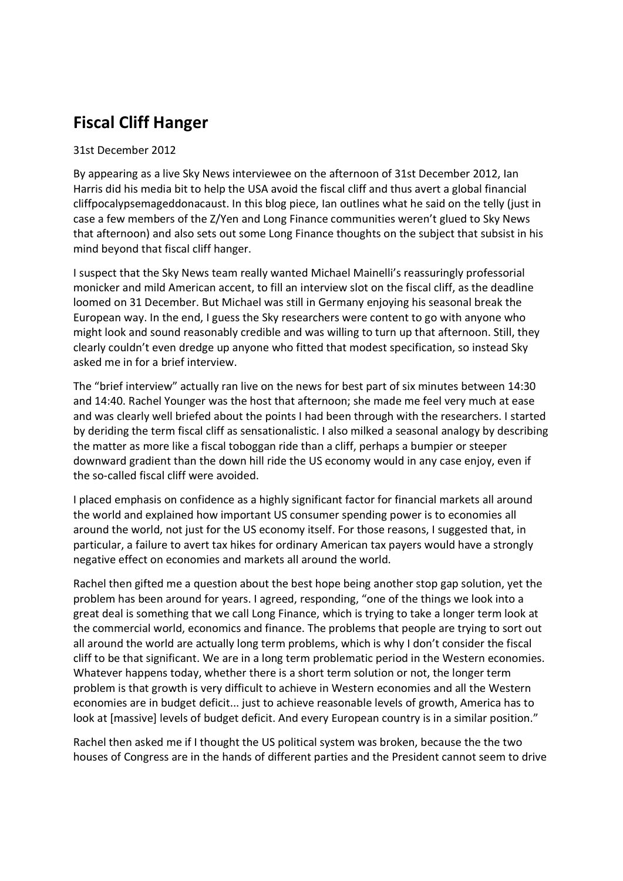## Fiscal Cliff Hanger

## 31st December 2012

By appearing as a live Sky News interviewee on the afternoon of 31st December 2012, Ian Harris did his media bit to help the USA avoid the fiscal cliff and thus avert a global financial cliffpocalypsemageddonacaust. In this blog piece, Ian outlines what he said on the telly (just in case a few members of the Z/Yen and Long Finance communities weren't glued to Sky News that afternoon) and also sets out some Long Finance thoughts on the subject that subsist in his mind beyond that fiscal cliff hanger.

I suspect that the Sky News team really wanted Michael Mainelli's reassuringly professorial monicker and mild American accent, to fill an interview slot on the fiscal cliff, as the deadline loomed on 31 December. But Michael was still in Germany enjoying his seasonal break the European way. In the end, I guess the Sky researchers were content to go with anyone who might look and sound reasonably credible and was willing to turn up that afternoon. Still, they clearly couldn't even dredge up anyone who fitted that modest specification, so instead Sky asked me in for a brief interview.

The "brief interview" actually ran live on the news for best part of six minutes between 14:30 and 14:40. Rachel Younger was the host that afternoon; she made me feel very much at ease and was clearly well briefed about the points I had been through with the researchers. I started by deriding the term fiscal cliff as sensationalistic. I also milked a seasonal analogy by describing the matter as more like a fiscal toboggan ride than a cliff, perhaps a bumpier or steeper downward gradient than the down hill ride the US economy would in any case enjoy, even if the so-called fiscal cliff were avoided.

I placed emphasis on confidence as a highly significant factor for financial markets all around the world and explained how important US consumer spending power is to economies all around the world, not just for the US economy itself. For those reasons, I suggested that, in particular, a failure to avert tax hikes for ordinary American tax payers would have a strongly negative effect on economies and markets all around the world.

Rachel then gifted me a question about the best hope being another stop gap solution, yet the problem has been around for years. I agreed, responding, "one of the things we look into a great deal is something that we call Long Finance, which is trying to take a longer term look at the commercial world, economics and finance. The problems that people are trying to sort out all around the world are actually long term problems, which is why I don't consider the fiscal cliff to be that significant. We are in a long term problematic period in the Western economies. Whatever happens today, whether there is a short term solution or not, the longer term problem is that growth is very difficult to achieve in Western economies and all the Western economies are in budget deficit... just to achieve reasonable levels of growth, America has to look at [massive] levels of budget deficit. And every European country is in a similar position."

Rachel then asked me if I thought the US political system was broken, because the the two houses of Congress are in the hands of different parties and the President cannot seem to drive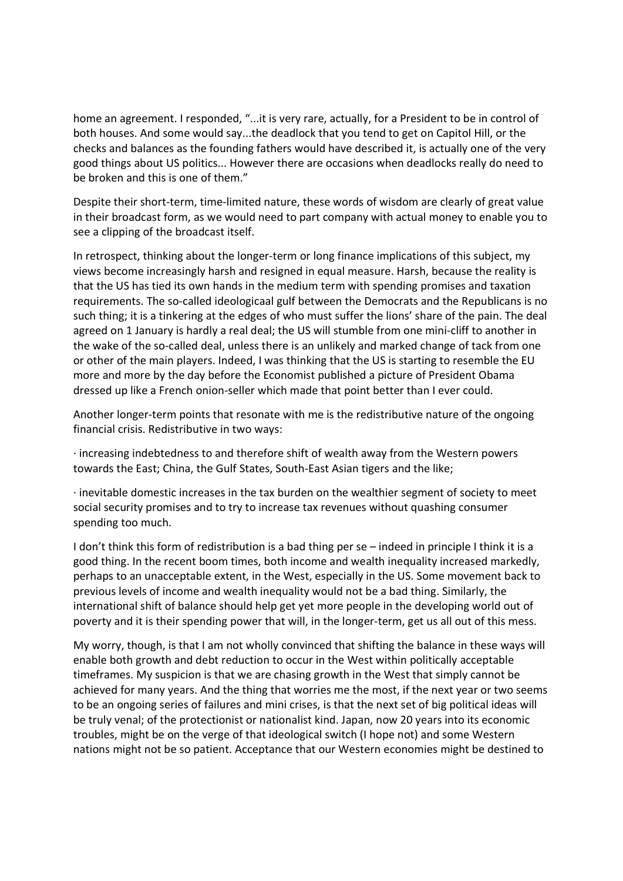home an agreement. I responded, "...it is very rare, actually, for a President to be in control of both houses. And some would say...the deadlock that you tend to get on Capitol Hill, or the checks and balances as the founding fathers would have described it, is actually one of the very good things about US politics... However there are occasions when deadlocks really do need to be broken and this is one of them."

Despite their short-term, time-limited nature, these words of wisdom are clearly of great value in their broadcast form, as we would need to part company with actual money to enable you to see a clipping of the broadcast itself.

In retrospect, thinking about the longer-term or long finance implications of this subject, my views become increasingly harsh and resigned in equal measure. Harsh, because the reality is that the US has tied its own hands in the medium term with spending promises and taxation requirements. The so-called ideologicaal gulf between the Democrats and the Republicans is no such thing; it is a tinkering at the edges of who must suffer the lions' share of the pain. The deal agreed on 1 January is hardly a real deal; the US will stumble from one mini-cliff to another in the wake of the so-called deal, unless there is an unlikely and marked change of tack from one or other of the main players. Indeed, I was thinking that the US is starting to resemble the EU more and more by the day before the Economist published a picture of President Obama dressed up like a French onion-seller which made that point better than I ever could.

Another longer-term points that resonate with me is the redistributive nature of the ongoing financial crisis. Redistributive in two ways:

· increasing indebtedness to and therefore shift of wealth away from the Western powers towards the East; China, the Gulf States, South-East Asian tigers and the like;

 $\cdot$  inevitable domestic increases in the tax burden on the wealthier segment of society to meet social security promises and to try to increase tax revenues without quashing consumer spending too much.

I don't think this form of redistribution is a bad thing per se – indeed in principle I think it is a good thing. In the recent boom times, both income and wealth inequality increased markedly, perhaps to an unacceptable extent, in the West, especially in the US. Some movement back to previous levels of income and wealth inequality would not be a bad thing. Similarly, the international shift of balance should help get yet more people in the developing world out of poverty and it is their spending power that will, in the longer-term, get us all out of this mess.

My worry, though, is that I am not wholly convinced that shifting the balance in these ways will enable both growth and debt reduction to occur in the West within politically acceptable timeframes. My suspicion is that we are chasing growth in the West that simply cannot be achieved for many years. And the thing that worries me the most, if the next year or two seems to be an ongoing series of failures and mini crises, is that the next set of big political ideas will be truly venal; of the protectionist or nationalist kind. Japan, now 20 years into its economic troubles, might be on the verge of that ideological switch (I hope not) and some Western nations might not be so patient. Acceptance that our Western economies might be destined to